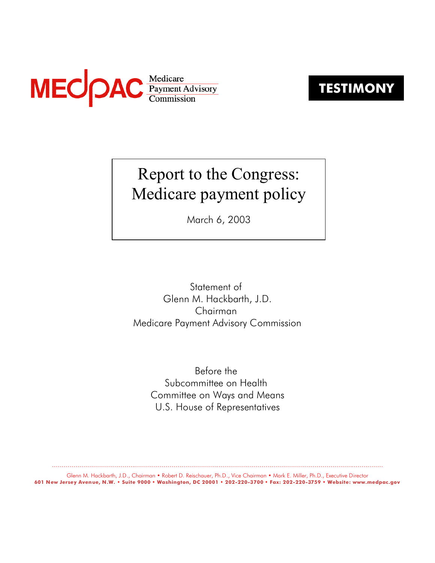

**TESTIMONY**

# Report to the Congress: Medicare payment policy

March 6, 2003

Statement of Glenn M. Hackbarth, J.D. Chairman Medicare Payment Advisory Commission

> Before the Subcommittee on Health Committee on Ways and Means U.S. House of Representatives

......................................................................................................................................................................... Glenn M. Hackbarth, J.D., Chairman • Robert D. Reischauer, Ph.D., Vice Chairman • Mark E. Miller, Ph.D., Executive Director **601 New Jersey Avenue, N.W. • Suite 9000 • Washington, DC 20001 • 202-220-3700 • Fax: 202-220-3759 • Website: www.medpac.gov**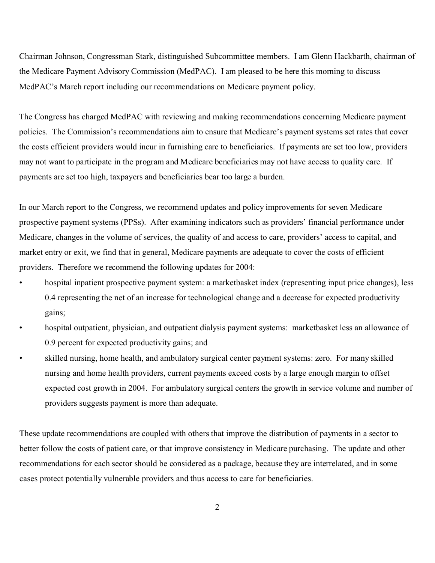Chairman Johnson, Congressman Stark, distinguished Subcommittee members. I am Glenn Hackbarth, chairman of the Medicare Payment Advisory Commission (MedPAC). I am pleased to be here this morning to discuss MedPAC's March report including our recommendations on Medicare payment policy.

The Congress has charged MedPAC with reviewing and making recommendations concerning Medicare payment policies. The Commission's recommendations aim to ensure that Medicare's payment systems set rates that cover the costs efficient providers would incur in furnishing care to beneficiaries. If payments are set too low, providers may not want to participate in the program and Medicare beneficiaries may not have access to quality care. If payments are set too high, taxpayers and beneficiaries bear too large a burden.

In our March report to the Congress, we recommend updates and policy improvements for seven Medicare prospective payment systems (PPSs). After examining indicators such as providers' financial performance under Medicare, changes in the volume of services, the quality of and access to care, providers' access to capital, and market entry or exit, we find that in general, Medicare payments are adequate to cover the costs of efficient providers. Therefore we recommend the following updates for 2004:

- hospital inpatient prospective payment system: a marketbasket index (representing input price changes), less 0.4 representing the net of an increase for technological change and a decrease for expected productivity gains;
- hospital outpatient, physician, and outpatient dialysis payment systems: marketbasket less an allowance of 0.9 percent for expected productivity gains; and
- skilled nursing, home health, and ambulatory surgical center payment systems: zero. For many skilled nursing and home health providers, current payments exceed costs by a large enough margin to offset expected cost growth in 2004. For ambulatory surgical centers the growth in service volume and number of providers suggests payment is more than adequate.

These update recommendations are coupled with others that improve the distribution of payments in a sector to better follow the costs of patient care, or that improve consistency in Medicare purchasing. The update and other recommendations for each sector should be considered as a package, because they are interrelated, and in some cases protect potentially vulnerable providers and thus access to care for beneficiaries.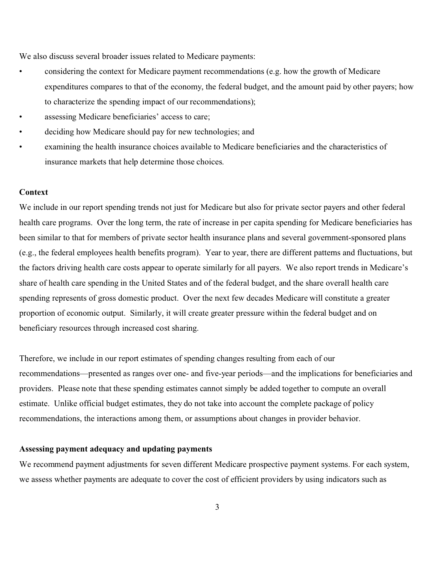We also discuss several broader issues related to Medicare payments:

- considering the context for Medicare payment recommendations (e.g. how the growth of Medicare expenditures compares to that of the economy, the federal budget, and the amount paid by other payers; how to characterize the spending impact of our recommendations);
- assessing Medicare beneficiaries' access to care;
- deciding how Medicare should pay for new technologies; and
- examining the health insurance choices available to Medicare beneficiaries and the characteristics of insurance markets that help determine those choices.

# **Context**

We include in our report spending trends not just for Medicare but also for private sector payers and other federal health care programs. Over the long term, the rate of increase in per capita spending for Medicare beneficiaries has been similar to that for members of private sector health insurance plans and several government-sponsored plans (e.g., the federal employees health benefits program). Year to year, there are different patterns and fluctuations, but the factors driving health care costs appear to operate similarly for all payers. We also report trends in Medicare's share of health care spending in the United States and of the federal budget, and the share overall health care spending represents of gross domestic product. Over the next few decades Medicare will constitute a greater proportion of economic output. Similarly, it will create greater pressure within the federal budget and on beneficiary resources through increased cost sharing.

Therefore, we include in our report estimates of spending changes resulting from each of our recommendations—presented as ranges over one- and five-year periods—and the implications for beneficiaries and providers. Please note that these spending estimates cannot simply be added together to compute an overall estimate. Unlike official budget estimates, they do not take into account the complete package of policy recommendations, the interactions among them, or assumptions about changes in provider behavior.

### **Assessing payment adequacy and updating payments**

We recommend payment adjustments for seven different Medicare prospective payment systems. For each system, we assess whether payments are adequate to cover the cost of efficient providers by using indicators such as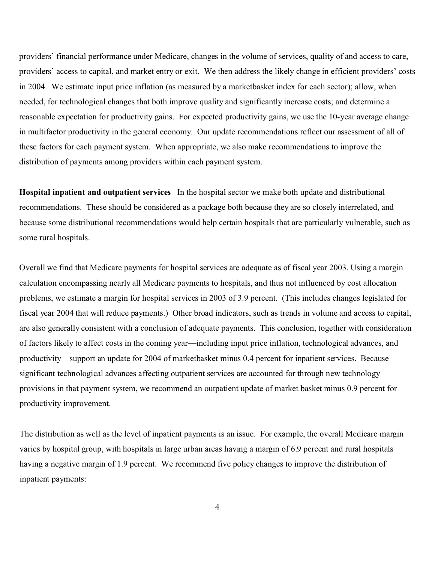providers' financial performance under Medicare, changes in the volume of services, quality of and access to care, providers' access to capital, and market entry or exit. We then address the likely change in efficient providers' costs in 2004. We estimate input price inflation (as measured by a marketbasket index for each sector); allow, when needed, for technological changes that both improve quality and significantly increase costs; and determine a reasonable expectation for productivity gains. For expected productivity gains, we use the 10-year average change in multifactor productivity in the general economy. Our update recommendations reflect our assessment of all of these factors for each payment system. When appropriate, we also make recommendations to improve the distribution of payments among providers within each payment system.

**Hospital inpatient and outpatient services** In the hospital sector we make both update and distributional recommendations. These should be considered as a package both because they are so closely interrelated, and because some distributional recommendations would help certain hospitals that are particularly vulnerable, such as some rural hospitals.

Overall we find that Medicare payments for hospital services are adequate as of fiscal year 2003. Using a margin calculation encompassing nearly all Medicare payments to hospitals, and thus not influenced by cost allocation problems, we estimate a margin for hospital services in 2003 of 3.9 percent. (This includes changes legislated for fiscal year 2004 that will reduce payments.) Other broad indicators, such as trends in volume and access to capital, are also generally consistent with a conclusion of adequate payments. This conclusion, together with consideration of factors likely to affect costs in the coming year—including input price inflation, technological advances, and productivity—support an update for 2004 of marketbasket minus 0.4 percent for inpatient services. Because significant technological advances affecting outpatient services are accounted for through new technology provisions in that payment system, we recommend an outpatient update of market basket minus 0.9 percent for productivity improvement.

The distribution as well as the level of inpatient payments is an issue. For example, the overall Medicare margin varies by hospital group, with hospitals in large urban areas having a margin of 6.9 percent and rural hospitals having a negative margin of 1.9 percent. We recommend five policy changes to improve the distribution of inpatient payments: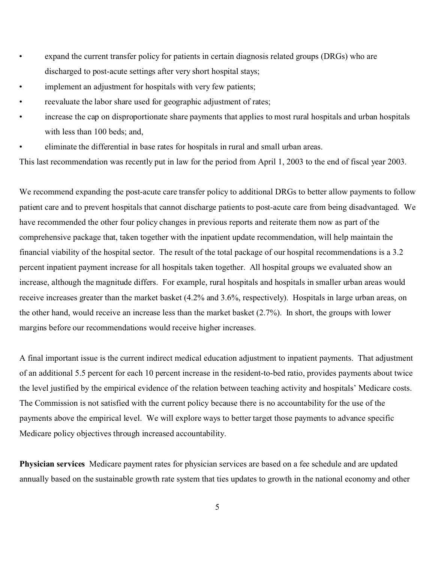- expand the current transfer policy for patients in certain diagnosis related groups (DRGs) who are discharged to post-acute settings after very short hospital stays;
- implement an adjustment for hospitals with very few patients;
- reevaluate the labor share used for geographic adjustment of rates;
- increase the cap on disproportionate share payments that applies to most rural hospitals and urban hospitals with less than 100 beds; and,
- eliminate the differential in base rates for hospitals in rural and small urban areas.

This last recommendation was recently put in law for the period from April 1, 2003 to the end of fiscal year 2003.

We recommend expanding the post-acute care transfer policy to additional DRGs to better allow payments to follow patient care and to prevent hospitals that cannot discharge patients to post-acute care from being disadvantaged. We have recommended the other four policy changes in previous reports and reiterate them now as part of the comprehensive package that, taken together with the inpatient update recommendation, will help maintain the financial viability of the hospital sector. The result of the total package of our hospital recommendations is a 3.2 percent inpatient payment increase for all hospitals taken together. All hospital groups we evaluated show an increase, although the magnitude differs. For example, rural hospitals and hospitals in smaller urban areas would receive increases greater than the market basket (4.2% and 3.6%, respectively). Hospitals in large urban areas, on the other hand, would receive an increase less than the market basket (2.7%). In short, the groups with lower margins before our recommendations would receive higher increases.

A final important issue is the current indirect medical education adjustment to inpatient payments. That adjustment of an additional 5.5 percent for each 10 percent increase in the resident-to-bed ratio, provides payments about twice the level justified by the empirical evidence of the relation between teaching activity and hospitals' Medicare costs. The Commission is not satisfied with the current policy because there is no accountability for the use of the payments above the empirical level. We will explore ways to better target those payments to advance specific Medicare policy objectives through increased accountability.

**Physician services** Medicare payment rates for physician services are based on a fee schedule and are updated annually based on the sustainable growth rate system that ties updates to growth in the national economy and other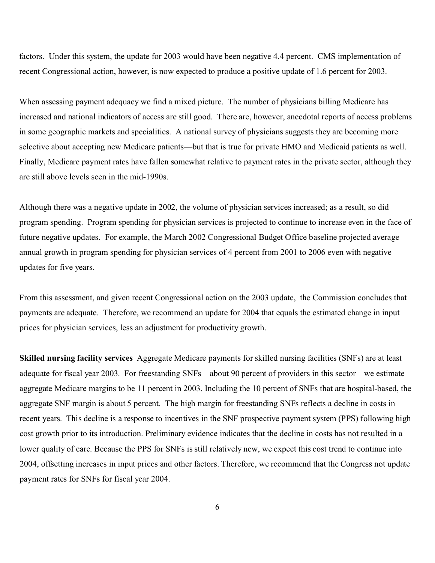factors. Under this system, the update for 2003 would have been negative 4.4 percent. CMS implementation of recent Congressional action, however, is now expected to produce a positive update of 1.6 percent for 2003.

When assessing payment adequacy we find a mixed picture. The number of physicians billing Medicare has increased and national indicators of access are still good. There are, however, anecdotal reports of access problems in some geographic markets and specialities. A national survey of physicians suggests they are becoming more selective about accepting new Medicare patients—but that is true for private HMO and Medicaid patients as well. Finally, Medicare payment rates have fallen somewhat relative to payment rates in the private sector, although they are still above levels seen in the mid-1990s.

Although there was a negative update in 2002, the volume of physician services increased; as a result, so did program spending. Program spending for physician services is projected to continue to increase even in the face of future negative updates. For example, the March 2002 Congressional Budget Office baseline projected average annual growth in program spending for physician services of 4 percent from 2001 to 2006 even with negative updates for five years.

From this assessment, and given recent Congressional action on the 2003 update, the Commission concludes that payments are adequate. Therefore, we recommend an update for 2004 that equals the estimated change in input prices for physician services, less an adjustment for productivity growth.

**Skilled nursing facility services** Aggregate Medicare payments for skilled nursing facilities (SNFs) are at least adequate for fiscal year 2003. For freestanding SNFs—about 90 percent of providers in this sector—we estimate aggregate Medicare margins to be 11 percent in 2003. Including the 10 percent of SNFs that are hospital-based, the aggregate SNF margin is about 5 percent. The high margin for freestanding SNFs reflects a decline in costs in recent years. This decline is a response to incentives in the SNF prospective payment system (PPS) following high cost growth prior to its introduction. Preliminary evidence indicates that the decline in costs has not resulted in a lower quality of care. Because the PPS for SNFs is still relatively new, we expect this cost trend to continue into 2004, offsetting increases in input prices and other factors. Therefore, we recommend that the Congress not update payment rates for SNFs for fiscal year 2004.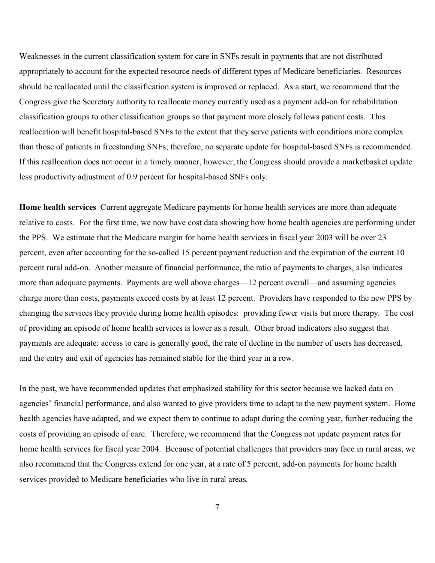Weaknesses in the current classification system for care in SNFs result in payments that are not distributed appropriately to account for the expected resource needs of different types of Medicare beneficiaries. Resources should be reallocated until the classification system is improved or replaced. As a start, we recommend that the Congress give the Secretary authority to reallocate money currently used as a payment add-on for rehabilitation classification groups to other classification groups so that payment more closely follows patient costs. This reallocation will benefit hospital-based SNFs to the extent that they serve patients with conditions more complex than those of patients in freestanding SNFs; therefore, no separate update for hospital-based SNFs is recommended. If this reallocation does not occur in a timely manner, however, the Congress should provide a marketbasket update less productivity adjustment of 0.9 percent for hospital-based SNFs only.

**Home health services** Current aggregate Medicare payments for home health services are more than adequate relative to costs. For the first time, we now have cost data showing how home health agencies are performing under the PPS. We estimate that the Medicare margin for home health services in fiscal year 2003 will be over 23 percent, even after accounting for the so-called 15 percent payment reduction and the expiration of the current 10 percent rural add-on. Another measure of financial performance, the ratio of payments to charges, also indicates more than adequate payments. Payments are well above charges—12 percent overall—and assuming agencies charge more than costs, payments exceed costs by at least 12 percent. Providers have responded to the new PPS by changing the services they provide during home health episodes: providing fewer visits but more therapy. The cost of providing an episode of home health services is lower as a result. Other broad indicators also suggest that payments are adequate: access to care is generally good, the rate of decline in the number of users has decreased, and the entry and exit of agencies has remained stable for the third year in a row.

In the past, we have recommended updates that emphasized stability for this sector because we lacked data on agencies' financial performance, and also wanted to give providers time to adapt to the new payment system. Home health agencies have adapted, and we expect them to continue to adapt during the coming year, further reducing the costs of providing an episode of care. Therefore, we recommend that the Congress not update payment rates for home health services for fiscal year 2004. Because of potential challenges that providers may face in rural areas, we also recommend that the Congress extend for one year, at a rate of 5 percent, add-on payments for home health services provided to Medicare beneficiaries who live in rural areas.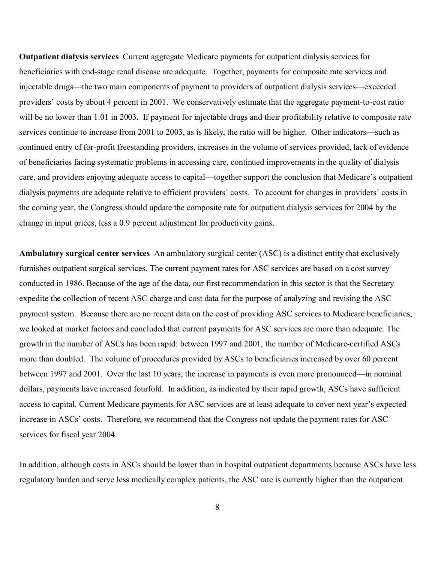**Outpatient dialysis services** Current aggregate Medicare payments for outpatient dialysis services for beneficiaries with end-stage renal disease are adequate. Together, payments for composite rate services and injectable drugs—the two main components of payment to providers of outpatient dialysis services—exceeded providers' costs by about 4 percent in 2001. We conservatively estimate that the aggregate payment-to-cost ratio will be no lower than 1.01 in 2003. If payment for injectable drugs and their profitability relative to composite rate services continue to increase from 2001 to 2003, as is likely, the ratio will be higher. Other indicators—such as continued entry of for-profit freestanding providers, increases in the volume of services provided, lack of evidence of beneficiaries facing systematic problems in accessing care, continued improvements in the quality of dialysis care, and providers enjoying adequate access to capital—together support the conclusion that Medicare's outpatient dialysis payments are adequate relative to efficient providers' costs. To account for changes in providers' costs in the coming year, the Congress should update the composite rate for outpatient dialysis services for 2004 by the change in input prices, less a 0.9 percent adjustment for productivity gains.

**Ambulatory surgical center services** An ambulatory surgical center (ASC) is a distinct entity that exclusively furnishes outpatient surgical services. The current payment rates for ASC services are based on a cost survey conducted in 1986. Because of the age of the data, our first recommendation in this sector is that the Secretary expedite the collection of recent ASC charge and cost data for the purpose of analyzing and revising the ASC payment system. Because there are no recent data on the cost of providing ASC services to Medicare beneficiaries, we looked at market factors and concluded that current payments for ASC services are more than adequate. The growth in the number of ASCs has been rapid: between 1997 and 2001, the number of Medicare-certified ASCs more than doubled. The volume of procedures provided by ASCs to beneficiaries increased by over 60 percent between 1997 and 2001. Over the last 10 years, the increase in payments is even more pronounced—in nominal dollars, payments have increased fourfold. In addition, as indicated by their rapid growth, ASCs have sufficient access to capital. Current Medicare payments for ASC services are at least adequate to cover next year's expected increase in ASCs' costs. Therefore, we recommend that the Congress not update the payment rates for ASC services for fiscal year 2004.

In addition, although costs in ASCs should be lower than in hospital outpatient departments because ASCs have less regulatory burden and serve less medically complex patients, the ASC rate is currently higher than the outpatient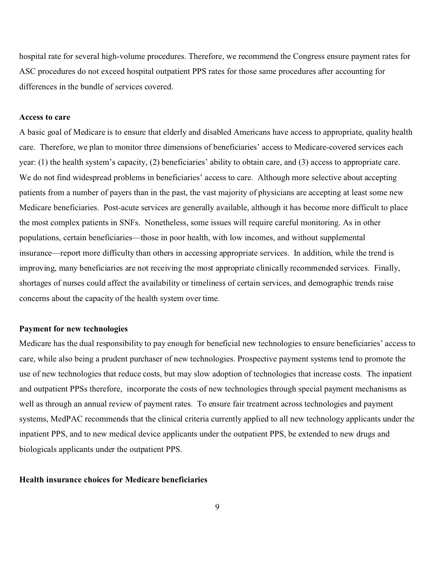hospital rate for several high-volume procedures. Therefore, we recommend the Congress ensure payment rates for ASC procedures do not exceed hospital outpatient PPS rates for those same procedures after accounting for differences in the bundle of services covered.

# **Access to care**

A basic goal of Medicare is to ensure that elderly and disabled Americans have access to appropriate, quality health care. Therefore, we plan to monitor three dimensions of beneficiaries' access to Medicare-covered services each year: (1) the health system's capacity, (2) beneficiaries' ability to obtain care, and (3) access to appropriate care. We do not find widespread problems in beneficiaries' access to care. Although more selective about accepting patients from a number of payers than in the past, the vast majority of physicians are accepting at least some new Medicare beneficiaries. Post-acute services are generally available, although it has become more difficult to place the most complex patients in SNFs. Nonetheless, some issues will require careful monitoring. As in other populations, certain beneficiaries—those in poor health, with low incomes, and without supplemental insurance—report more difficulty than others in accessing appropriate services. In addition, while the trend is improving, many beneficiaries are not receiving the most appropriate clinically recommended services. Finally, shortages of nurses could affect the availability or timeliness of certain services, and demographic trends raise concerns about the capacity of the health system over time.

### **Payment for new technologies**

Medicare has the dual responsibility to pay enough for beneficial new technologies to ensure beneficiaries' access to care, while also being a prudent purchaser of new technologies. Prospective payment systems tend to promote the use of new technologies that reduce costs, but may slow adoption of technologies that increase costs. The inpatient and outpatient PPSs therefore, incorporate the costs of new technologies through special payment mechanisms as well as through an annual review of payment rates. To ensure fair treatment across technologies and payment systems, MedPAC recommends that the clinical criteria currently applied to all new technology applicants under the inpatient PPS, and to new medical device applicants under the outpatient PPS, be extended to new drugs and biologicals applicants under the outpatient PPS.

#### **Health insurance choices for Medicare beneficiaries**